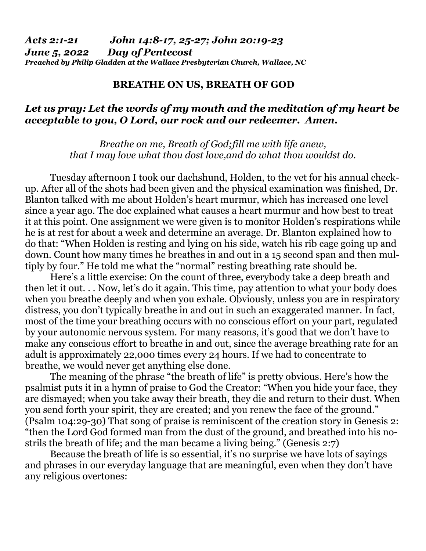## **BREATHE ON US, BREATH OF GOD**

## *Let us pray: Let the words of my mouth and the meditation of my heart be acceptable to you, O Lord, our rock and our redeemer. Amen.*

*Breathe on me, Breath of God;fill me with life anew, that I may love what thou dost love,and do what thou wouldst do.* 

 Tuesday afternoon I took our dachshund, Holden, to the vet for his annual checkup. After all of the shots had been given and the physical examination was finished, Dr. Blanton talked with me about Holden's heart murmur, which has increased one level since a year ago. The doc explained what causes a heart murmur and how best to treat it at this point. One assignment we were given is to monitor Holden's respirations while he is at rest for about a week and determine an average. Dr. Blanton explained how to do that: "When Holden is resting and lying on his side, watch his rib cage going up and down. Count how many times he breathes in and out in a 15 second span and then multiply by four." He told me what the "normal" resting breathing rate should be.

 Here's a little exercise: On the count of three, everybody take a deep breath and then let it out. . . Now, let's do it again. This time, pay attention to what your body does when you breathe deeply and when you exhale. Obviously, unless you are in respiratory distress, you don't typically breathe in and out in such an exaggerated manner. In fact, most of the time your breathing occurs with no conscious effort on your part, regulated by your autonomic nervous system. For many reasons, it's good that we don't have to make any conscious effort to breathe in and out, since the average breathing rate for an adult is approximately 22,000 times every 24 hours. If we had to concentrate to breathe, we would never get anything else done.

 The meaning of the phrase "the breath of life" is pretty obvious. Here's how the psalmist puts it in a hymn of praise to God the Creator: "When you hide your face, they are dismayed; when you take away their breath, they die and return to their dust. When you send forth your spirit, they are created; and you renew the face of the ground." (Psalm 104:29-30) That song of praise is reminiscent of the creation story in Genesis 2: "then the Lord God formed man from the dust of the ground, and breathed into his nostrils the breath of life; and the man became a living being." (Genesis 2:7)

 Because the breath of life is so essential, it's no surprise we have lots of sayings and phrases in our everyday language that are meaningful, even when they don't have any religious overtones: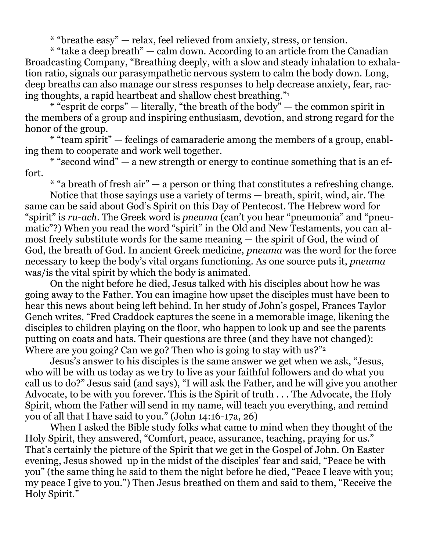\* "breathe easy" — relax, feel relieved from anxiety, stress, or tension.

 \* "take a deep breath" — calm down. According to an article from the Canadian Broadcasting Company, "Breathing deeply, with a slow and steady inhalation to exhalation ratio, signals our parasympathetic nervous system to calm the body down. Long, deep breaths can also manage our stress responses to help decrease anxiety, fear, racing thoughts, a rapid heartbeat and shallow chest breathing."<sup>1</sup>

 $*$  "esprit de corps" — literally, "the breath of the body" — the common spirit in the members of a group and inspiring enthusiasm, devotion, and strong regard for the honor of the group.

 \* "team spirit" — feelings of camaraderie among the members of a group, enabling them to cooperate and work well together.

 $*$  "second wind" — a new strength or energy to continue something that is an effort.

 $*$  "a breath of fresh air"  $-$  a person or thing that constitutes a refreshing change.

 Notice that those sayings use a variety of terms — breath, spirit, wind, air. The same can be said about God's Spirit on this Day of Pentecost. The Hebrew word for "spirit" is *ru-ach*. The Greek word is *pneuma* (can't you hear "pneumonia" and "pneumatic"?) When you read the word "spirit" in the Old and New Testaments, you can almost freely substitute words for the same meaning — the spirit of God, the wind of God, the breath of God. In ancient Greek medicine, *pneuma* was the word for the force necessary to keep the body's vital organs functioning. As one source puts it, *pneuma* was/is the vital spirit by which the body is animated.

 On the night before he died, Jesus talked with his disciples about how he was going away to the Father. You can imagine how upset the disciples must have been to hear this news about being left behind. In her study of John's gospel, Frances Taylor Gench writes, "Fred Craddock captures the scene in a memorable image, likening the disciples to children playing on the floor, who happen to look up and see the parents putting on coats and hats. Their questions are three (and they have not changed): Where are you going? Can we go? Then who is going to stay with us?"

 Jesus's answer to his disciples is the same answer we get when we ask, "Jesus, who will be with us today as we try to live as your faithful followers and do what you call us to do?" Jesus said (and says), "I will ask the Father, and he will give you another Advocate, to be with you forever. This is the Spirit of truth . . . The Advocate, the Holy Spirit, whom the Father will send in my name, will teach you everything, and remind you of all that I have said to you." (John 14:16-17a, 26)

 When I asked the Bible study folks what came to mind when they thought of the Holy Spirit, they answered, "Comfort, peace, assurance, teaching, praying for us." That's certainly the picture of the Spirit that we get in the Gospel of John. On Easter evening, Jesus showed up in the midst of the disciples' fear and said, "Peace be with you" (the same thing he said to them the night before he died, "Peace I leave with you; my peace I give to you.") Then Jesus breathed on them and said to them, "Receive the Holy Spirit."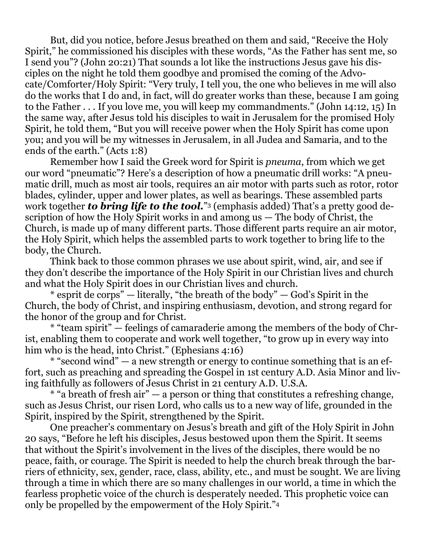But, did you notice, before Jesus breathed on them and said, "Receive the Holy Spirit," he commissioned his disciples with these words, "As the Father has sent me, so I send you"? (John 20:21) That sounds a lot like the instructions Jesus gave his disciples on the night he told them goodbye and promised the coming of the Advocate/Comforter/Holy Spirit: "Very truly, I tell you, the one who believes in me will also do the works that I do and, in fact, will do greater works than these, because I am going to the Father . . . If you love me, you will keep my commandments." (John 14:12, 15) In the same way, after Jesus told his disciples to wait in Jerusalem for the promised Holy Spirit, he told them, "But you will receive power when the Holy Spirit has come upon you; and you will be my witnesses in Jerusalem, in all Judea and Samaria, and to the ends of the earth." (Acts 1:8)

 Remember how I said the Greek word for Spirit is *pneuma*, from which we get our word "pneumatic"? Here's a description of how a pneumatic drill works: "A pneumatic drill, much as most air tools, requires an air motor with parts such as rotor, rotor blades, cylinder, upper and lower plates, as well as bearings. These assembled parts work together *to bring life to the tool.*" 3 (emphasis added) That's a pretty good description of how the Holy Spirit works in and among us — The body of Christ, the Church, is made up of many different parts. Those different parts require an air motor, the Holy Spirit, which helps the assembled parts to work together to bring life to the body, the Church.

 Think back to those common phrases we use about spirit, wind, air, and see if they don't describe the importance of the Holy Spirit in our Christian lives and church and what the Holy Spirit does in our Christian lives and church.

 \* esprit de corps" — literally, "the breath of the body" — God's Spirit in the Church, the body of Christ, and inspiring enthusiasm, devotion, and strong regard for the honor of the group and for Christ.

 \* "team spirit" — feelings of camaraderie among the members of the body of Christ, enabling them to cooperate and work well together, "to grow up in every way into him who is the head, into Christ." (Ephesians 4:16)

 $*$  "second wind" — a new strength or energy to continue something that is an effort, such as preaching and spreading the Gospel in 1st century A.D. Asia Minor and living faithfully as followers of Jesus Christ in 21 century A.D. U.S.A.

 $*$  "a breath of fresh air"  $-$  a person or thing that constitutes a refreshing change, such as Jesus Christ, our risen Lord, who calls us to a new way of life, grounded in the Spirit, inspired by the Spirit, strengthened by the Spirit.

 One preacher's commentary on Jesus's breath and gift of the Holy Spirit in John 20 says, "Before he left his disciples, Jesus bestowed upon them the Spirit. It seems that without the Spirit's involvement in the lives of the disciples, there would be no peace, faith, or courage. The Spirit is needed to help the church break through the barriers of ethnicity, sex, gender, race, class, ability, etc., and must be sought. We are living through a time in which there are so many challenges in our world, a time in which the fearless prophetic voice of the church is desperately needed. This prophetic voice can only be propelled by the empowerment of the Holy Spirit."4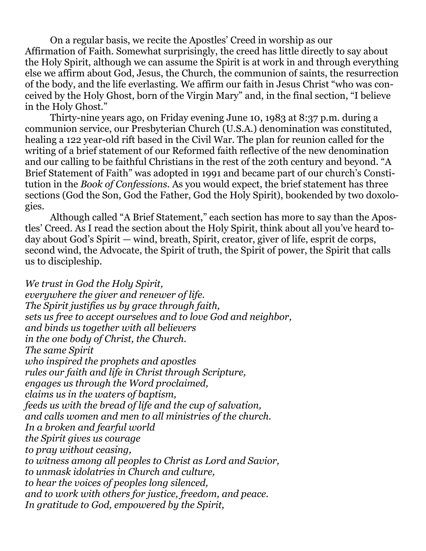On a regular basis, we recite the Apostles' Creed in worship as our Affirmation of Faith. Somewhat surprisingly, the creed has little directly to say about the Holy Spirit, although we can assume the Spirit is at work in and through everything else we affirm about God, Jesus, the Church, the communion of saints, the resurrection of the body, and the life everlasting. We affirm our faith in Jesus Christ "who was conceived by the Holy Ghost, born of the Virgin Mary" and, in the final section, "I believe in the Holy Ghost."

 Thirty-nine years ago, on Friday evening June 10, 1983 at 8:37 p.m. during a communion service, our Presbyterian Church (U.S.A.) denomination was constituted, healing a 122 year-old rift based in the Civil War. The plan for reunion called for the writing of a brief statement of our Reformed faith reflective of the new denomination and our calling to be faithful Christians in the rest of the 20th century and beyond. "A Brief Statement of Faith" was adopted in 1991 and became part of our church's Constitution in the *Book of Confessions*. As you would expect, the brief statement has three sections (God the Son, God the Father, God the Holy Spirit), bookended by two doxologies.

 Although called "A Brief Statement," each section has more to say than the Apostles' Creed. As I read the section about the Holy Spirit, think about all you've heard today about God's Spirit — wind, breath, Spirit, creator, giver of life, esprit de corps, second wind, the Advocate, the Spirit of truth, the Spirit of power, the Spirit that calls us to discipleship.

*We trust in God the Holy Spirit, everywhere the giver and renewer of life. The Spirit justifies us by grace through faith, sets us free to accept ourselves and to love God and neighbor, and binds us together with all believers in the one body of Christ, the Church. The same Spirit who inspired the prophets and apostles rules our faith and life in Christ through Scripture, engages us through the Word proclaimed, claims us in the waters of baptism, feeds us with the bread of life and the cup of salvation, and calls women and men to all ministries of the church. In a broken and fearful world the Spirit gives us courage to pray without ceasing, to witness among all peoples to Christ as Lord and Savior, to unmask idolatries in Church and culture, to hear the voices of peoples long silenced, and to work with others for justice, freedom, and peace. In gratitude to God, empowered by the Spirit,*